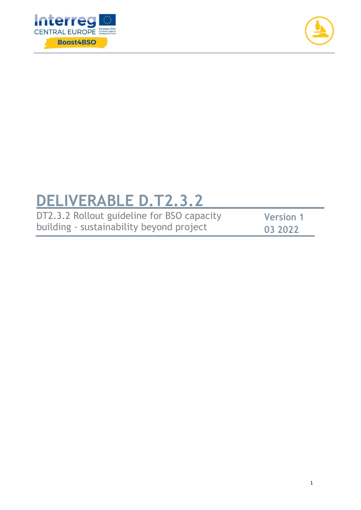



# **DELIVERABLE D.T2.3.2**

| DT2.3.2 Rollout guideline for BSO capacity | <b>Version 1</b> |
|--------------------------------------------|------------------|
| building - sustainability beyond project   | 03 2022          |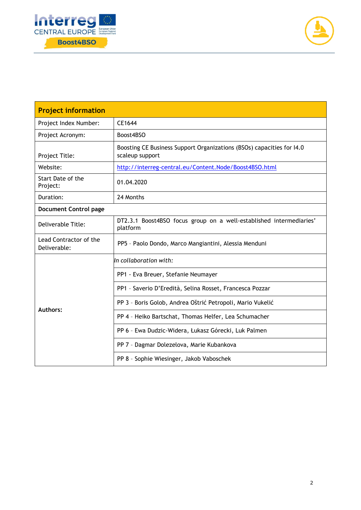



| <b>Project information</b>             |                                                                                          |  |  |  |
|----------------------------------------|------------------------------------------------------------------------------------------|--|--|--|
| Project Index Number:                  | CE1644                                                                                   |  |  |  |
| Project Acronym:                       | Boost4BSO                                                                                |  |  |  |
| Project Title:                         | Boosting CE Business Support Organizations (BSOs) capacities for I4.0<br>scaleup support |  |  |  |
| Website:                               | http://interreg-central.eu/Content.Node/Boost4BSO.html                                   |  |  |  |
| Start Date of the<br>Project:          | 01.04.2020                                                                               |  |  |  |
| Duration:                              | 24 Months                                                                                |  |  |  |
| <b>Document Control page</b>           |                                                                                          |  |  |  |
| Deliverable Title:                     | DT2.3.1 Boost4BSO focus group on a well-established intermediaries'<br>platform          |  |  |  |
| Lead Contractor of the<br>Deliverable: | PP5 - Paolo Dondo, Marco Mangiantini, Alessia Menduni                                    |  |  |  |
|                                        | In collaboration with:                                                                   |  |  |  |
| <b>Authors:</b>                        | PP1 - Eva Breuer, Stefanie Neumayer                                                      |  |  |  |
|                                        | PP1 - Saverio D'Eredità, Selina Rosset, Francesca Pozzar                                 |  |  |  |
|                                        | PP 3 - Boris Golob, Andrea Oštrić Petropoli, Mario Vukelić                               |  |  |  |
|                                        | PP 4 - Heiko Bartschat, Thomas Helfer, Lea Schumacher                                    |  |  |  |
|                                        | PP 6 - Ewa Dudzic-Widera, Łukasz Górecki, Luk Palmen                                     |  |  |  |
|                                        | PP 7 - Dagmar Dolezelova, Marie Kubankova                                                |  |  |  |
|                                        | PP 8 - Sophie Wiesinger, Jakob Vaboschek                                                 |  |  |  |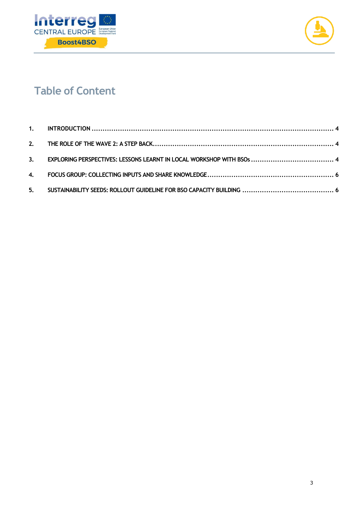



# **Table of Content**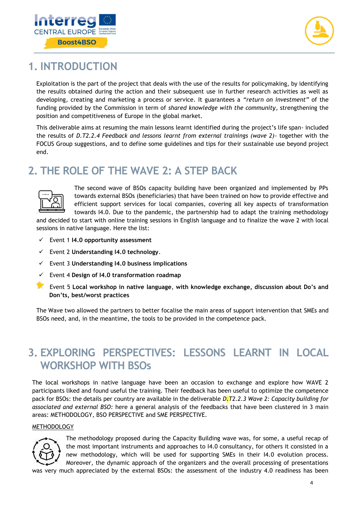



### <span id="page-3-0"></span>**1. INTRODUCTION**

Exploitation is the part of the project that deals with the use of the results for policymaking, by identifying the results obtained during the action and their subsequent use in further research activities as well as developing, creating and marketing a process or service. It guarantees a *"return on investment"* of the funding provided by the Commission in term of *shared knowledge with the community*, strengthening the position and competitiveness of Europe in the global market.

This deliverable aims at resuming the main lessons learnt identified during the project's life span- included the results of *D.T2.2.4 Feedback and lessons learnt from external trainings (wave 2)-* together with the FOCUS Group suggestions, and to define some guidelines and tips for their sustainable use beyond project end.

# <span id="page-3-1"></span>**2. THE ROLE OF THE WAVE 2: A STEP BACK**



The second wave of BSOs capacity building have been organized and implemented by PPs towards external BSOs (beneficiaries) that have been trained on how to provide effective and efficient support services for local companies, covering all key aspects of transformation towards I4.0. Due to the pandemic, the partnership had to adapt the training methodology

and decided to start with online training sessions in English language and to finalize the wave 2 with local sessions in native language. Here the list:

- Event 1 **I4.0 opportunity assessment**
- Event 2 **Understanding I4.0 technology**.
- Event 3 **Understanding I4.0 business implications**
- Event 4 **Design of I4.0 transformation roadmap**
- Event 5 **Local workshop in native language**, **with knowledge exchange, discussion about Do's and Don'ts, best/worst practices**

The Wave two allowed the partners to better focalise the main areas of support intervention that SMEs and BSOs need, and, in the meantime, the tools to be provided in the competence pack.

# <span id="page-3-2"></span>**3. EXPLORING PERSPECTIVES: LESSONS LEARNT IN LOCAL WORKSHOP WITH BSOs**

The local workshops in native language have been an occasion to exchange and explore how WAVE 2 participants liked and found useful the training. Their feedback has been useful to optimize the competence pack for BSOs: the details per country are available in the deliverable *D.T2.2.3 Wave 2: Capacity building for associated and external BSO:* here a general analysis of the feedbacks that have been clustered in 3 main areas: METHODOLOGY, BSO PERSPECTIVE and SME PERSPECTIVE.

#### METHODOLOGY



The methodology proposed during the Capacity Building wave was, for some, a useful recap of the most important instruments and approaches to I4.0 consultancy, for others it consisted in a new methodology, which will be used for supporting SMEs in their I4.0 evolution process. Moreover, the dynamic approach of the organizers and the overall processing of presentations

was very much appreciated by the external BSOs: the assessment of the industry 4.0 readiness has been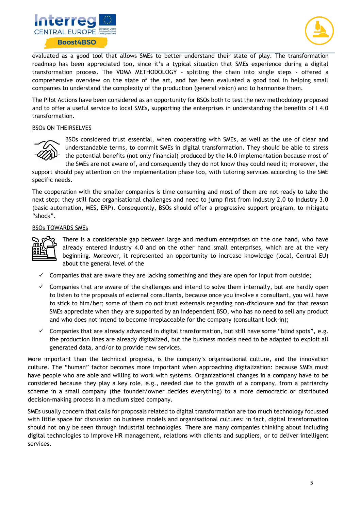



evaluated as a good tool that allows SMEs to better understand their state of play. The transformation roadmap has been appreciated too, since it's a typical situation that SMEs experience during a digital transformation process. The VDMA METHODOLOGY - splitting the chain into single steps - offered a comprehensive overview on the state of the art, and has been evaluated a good tool in helping small companies to understand the complexity of the production (general vision) and to harmonise them.

The Pilot Actions have been considered as an opportunity for BSOs both to test the new methodology proposed and to offer a useful service to local SMEs, supporting the enterprises in understanding the benefits of I 4.0 transformation.

#### BSOs ON THEIRSELVES



BSOs considered trust essential, when cooperating with SMEs, as well as the use of clear and understandable terms, to commit SMEs in digital transformation. They should be able to stress the potential benefits (not only financial) produced by the I4.0 implementation because most of the SMEs are not aware of, and consequently they do not know they could need it; moreover, the

support should pay attention on the implementation phase too, with tutoring services according to the SME specific needs.

The cooperation with the smaller companies is time consuming and most of them are not ready to take the next step: they still face organisational challenges and need to jump first from Industry 2.0 to Industry 3.0 (basic automation, MES, ERP). Consequently, BSOs should offer a progressive support program, to mitigate "shock".

#### BSOs TOWARDS SMEs



There is a considerable gap between large and medium enterprises on the one hand, who have already entered Industry 4.0 and on the other hand small enterprises, which are at the very beginning. Moreover, it represented an opportunity to increase knowledge (local, Central EU) about the general level of the

- $\checkmark$  Companies that are aware they are lacking something and they are open for input from outside;
- $\checkmark$  Companies that are aware of the challenges and intend to solve them internally, but are hardly open to listen to the proposals of external consultants, because once you involve a consultant, you will have to stick to him/her; some of them do not trust externals regarding non-disclosure and for that reason SMEs appreciate when they are supported by an independent BSO, who has no need to sell any product and who does not intend to become irreplaceable for the company (consultant lock-in);
- $\checkmark$  Companies that are already advanced in digital transformation, but still have some "blind spots", e.g. the production lines are already digitalized, but the business models need to be adapted to exploit all generated data, and/or to provide new services.

More important than the technical progress, is the company's organisational culture, and the innovation culture. The "human" factor becomes more important when approaching digitalization: because SMEs must have people who are able and willing to work with systems. Organizational changes in a company have to be considered because they play a key role, e.g., needed due to the growth of a company, from a patriarchy scheme in a small company (the founder/owner decides everything) to a more democratic or distributed decision-making process in a medium sized company.

SMEs usually concern that calls for proposals related to digital transformation are too much technology focussed with little space for discussion on business models and organisational cultures: in fact, digital transformation should not only be seen through industrial technologies. There are many companies thinking about including digital technologies to improve HR management, relations with clients and suppliers, or to deliver intelligent services.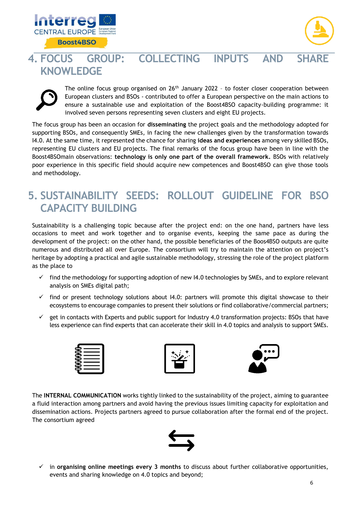



# <span id="page-5-0"></span>**4. FOCUS GROUP: COLLECTING INPUTS AND SHARE KNOWLEDGE**



The online focus group organised on  $26<sup>th</sup>$  January 2022 - to foster closer cooperation between European clusters and BSOs - contributed to offer a European perspective on the main actions to ensure a sustainable use and exploitation of the Boost4BSO capacity-building programme: it involved seven persons representing seven clusters and eight EU projects.

The focus group has been an occasion for **disseminating** the project goals and the methodology adopted for supporting BSOs, and consequently SMEs, in facing the new challenges given by the transformation towards I4.0. At the same time, it represented the chance for sharing **ideas and experiences** among very skilled BSOs, representing EU clusters and EU projects. The final remarks of the focus group have been in line with the Boost4BSOmain observations: **technology is only one part of the overall framework.** BSOs with relatively poor experience in this specific field should acquire new competences and Boost4BSO can give those tools and methodology.

# <span id="page-5-1"></span>**5. SUSTAINABILITY SEEDS: ROLLOUT GUIDELINE FOR BSO CAPACITY BUILDING**

Sustainability is a challenging topic because after the project end: on the one hand, partners have less occasions to meet and work together and to organise events, keeping the same pace as during the development of the project: on the other hand, the possible beneficiaries of the Boos4BSO outputs are quite numerous and distributed all over Europe. The consortium will try to maintain the attention on project's heritage by adopting a practical and agile sustainable methodology, stressing the role of the project platform as the place to

- $\checkmark$  find the methodology for supporting adoption of new I4.0 technologies by SMEs, and to explore relevant analysis on SMEs digital path;
- $\checkmark$  find or present technology solutions about 14.0: partners will promote this digital showcase to their ecosystems to encourage companies to present their solutions or find collaborative/commercial partners;
- $\checkmark$  get in contacts with Experts and public support for Industry 4.0 transformation projects: BSOs that have less experience can find experts that can accelerate their skill in 4.0 topics and analysis to support SMEs.







The **INTERNAL COMMUNICATION** works tightly linked to the sustainability of the project, aiming to guarantee a fluid interaction among partners and avoid having the previous issues limiting capacity for exploitation and dissemination actions. Projects partners agreed to pursue collaboration after the formal end of the project. The consortium agreed



 in **organising online meetings every 3 months** to discuss about further collaborative opportunities, events and sharing knowledge on 4.0 topics and beyond;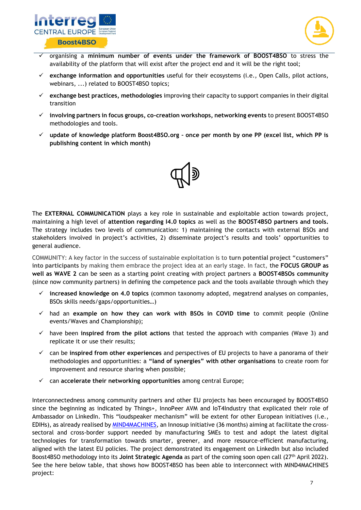



- organising a **minimum number of events under the framework of BOOST4BSO** to stress the availability of the platform that will exist after the project end and it will be the right tool;
- **exchange information and opportunities** useful for their ecosystems (i.e., Open Calls, pilot actions, webinars, ...) related to BOOST4BSO topics;
- **exchange best practices, methodologies** improving their capacity to support companies in their digital transition
- **involving partners in focus groups, co-creation workshops, networking events** to present BOOST4BSO methodologies and tools.
- **update of knowledge platform Boost4BSO.org – once per month by one PP (excel list, which PP is publishing content in which month)**



The **EXTERNAL COMMUNICATION** plays a key role in sustainable and exploitable action towards project, maintaining a high level of **attention regarding I4.0 topics** as well as the **BOOST4BSO partners and tools.** The strategy includes two levels of communication: 1) maintaining the contacts with external BSOs and stakeholders involved in project's activities, 2) disseminate project's results and tools' opportunities to general audience.

COMMUNITY: A key factor in the success of sustainable exploitation is to **turn potential project "customers" into participants** by making them embrace the project idea at an early stage. In fact, the **FOCUS GROUP as well as WAVE 2** can be seen as a starting point creating with project partners a **BOOST4BSOs community**  (since now community partners) in defining the competence pack and the tools available through which they

- **increased knowledge on 4.0 topics** (common taxonomy adopted, megatrend analyses on companies, BSOs skills needs/gaps/opportunities…)
- had an **example on how they can work with BSOs in COVID time** to commit people (Online events/Waves and Championship);
- have been **inspired from the pilot actions** that tested the approach with companies (Wave 3) and replicate it or use their results;
- can be **inspired from other experiences** and perspectives of EU projects to have a panorama of their methodologies and opportunities: a **"land of synergies" with other organisations** to create room for improvement and resource sharing when possible;
- can **accelerate their networking opportunities** among central Europe;

Interconnectedness among community partners and other EU projects has been encouraged by BOOST4BSO since the beginning as indicated by Things+, InnoPeer AVM and IoT4Industry that explicated their role of Ambassador on LinkedIn. This "loudspeaker mechanism" will be extent for other European initiatives (i.e., EDIHs), as already realised b[y MIND4MACHINES,](https://mind4machines.eu/) an Innosup initiative (36 months) aiming at facilitate the crosssectoral and cross-border support needed by manufacturing SMEs to test and adopt the latest digital technologies for transformation towards smarter, greener, and more resource-efficient manufacturing, aligned with the latest EU policies. The project demonstrated its engagement on LinkedIn but also included Boost4BSO methodology into its **Joint Strategic Agenda** as part of the coming soon open call (27th April 2022). See the here below table, that shows how BOOST4BSO has been able to interconnect with MIND4MACHINES project: